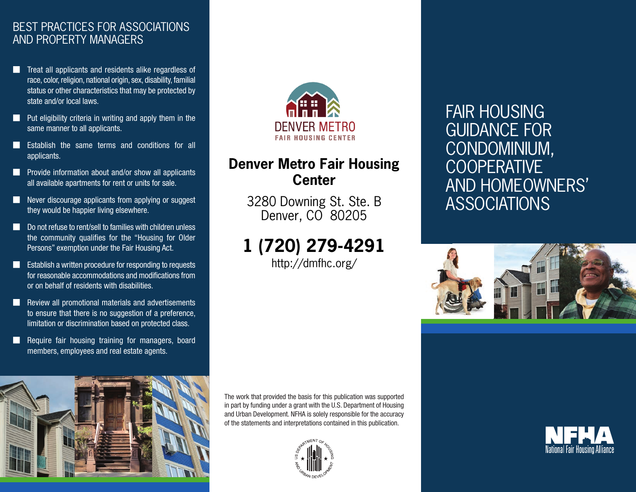### BEST PRACTICES FOR ASSOCIATIONS AND PROPERTY MANAGERS

- Treat all applicants and residents alike regardless of race, color, religion, national origin, sex, disability, familial status or other characteristics that may be protected by state and/or local laws.
- Put eligibility criteria in writing and apply them in the same manner to all applicants.
- **■** Establish the same terms and conditions for all applicants.
- Provide information about and/or show all applicants all available apartments for rent or units for sale.
- Never discourage applicants from applying or suggest they would be happier living elsewhere.
- Do not refuse to rent/sell to families with children unless the community qualifies for the "Housing for Older Persons" exemption under the Fair Housing Act.
- Establish a written procedure for responding to requests for reasonable accommodations and modifications from or on behalf of residents with disabilities.
- Review all promotional materials and advertisements to ensure that there is no suggestion of a preference, limitation or discrimination based on protected class.
- Require fair housing training for managers, board members, employees and real estate agents.





## **Denver Metro Fair Housing Center**

3280 Downing St. Ste. B Denver, CO 80205

# **1 (720) 279-4291**

http://dmfhc.org/

## **FAIR H GUIDA COND COOPE AND H ASSOC**



The work that provided the basis for this publication was supported in part by funding under a grant with the U.S. Department of Housing and Urban Development. NFHA is solely responsible for the accuracy of the statements and interpretations contained in this publication.